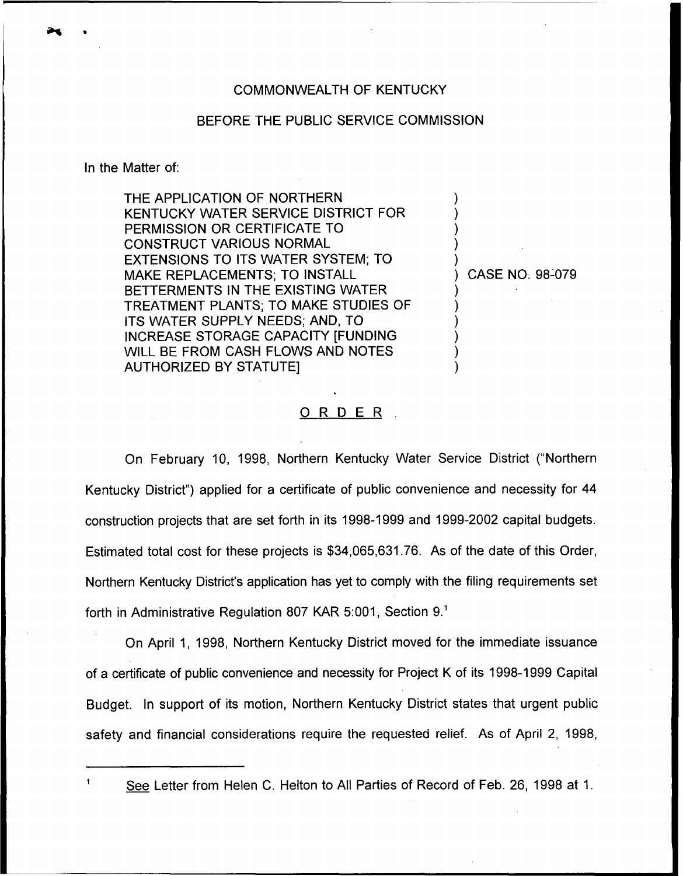## COMMONWEALTH OF KENTUCKY

## BEFORE THE PUBLIC SERVICE COMMISSION

In the Matter of:

 $\mathbf{1}$ 

THE APPLICATION OF NORTHERN KENTUCKY WATER SERVICE DISTRICT FOR PERMISSION OR CERTIFICATE TO CONSTRUCT VARIOUS NORMAL EXTENSIONS TO ITS WATER SYSTEM; TO MAKE REPLACEMENTS; TO INSTALI BETTERMENTS IN THE EXISTING WATER TREATMENT PLANTS; TO MAKE STUDIES OF ITS WATER SUPPLY NEEDS; AND, TO INCREASE STORAGE CAPACITY [FUNDING WILL BE FROM CASH FLOWS AND NOTES AUTHORIZED BY STATUTE]

) CASE NO; 98-079

) ) ) ) )

) ) ) ) ) )

## ORDER

On February 10, 1998, Northern Kentucky Water Service District ("Northern Kentucky District") applied for a certificate of public convenience and necessity for 44 construction projects that are set forth in its 1998-1999 and 1999-2002 capital budgets. Estimated total cost for these projects is \$34,065,631.76. As of the date of this Order, Northern Kentucky District's application has yet to comply with the filing requirements set forth in Administrative Regulation 807 KAR 5:001, Section 9."

On April 1, 1998, Northern Kentucky District moved tor the immediate issuance of a certificate of public convenience and necessity for Project <sup>K</sup> of its 1998-1999Capital Budget. In support of its motion, Northern Kentucky District states that urgent public safety and financial considerations require the requested relief. As of April 2, 1998,

See Letter from Helen C. Helton to All Parties of Record of Feb. 26, 1998 at 1.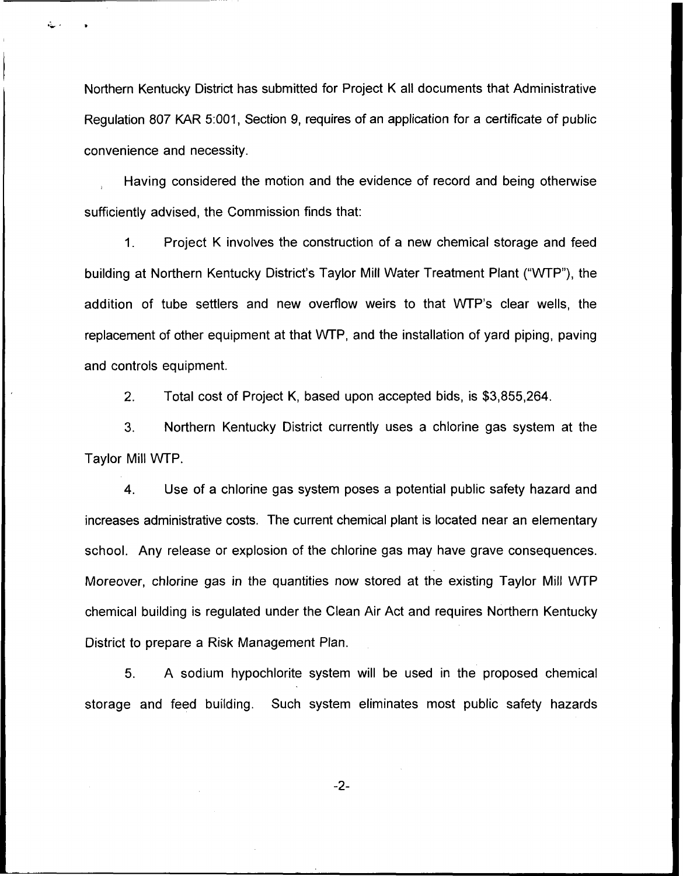Northern Kentucky District has submitted for Project K all documents that Administrative Regulation 807 KAR 5:001, Section 9, requires of an application for a certificate of public convenience and necessity.

Having considered the motion and the evidence of record and being otherwise sufficiently advised, the Commission finds that:

 $\mathbf 1$ . Project K involves the construction of a new chemical storage and feed building at Northern Kentucky District's Taylor Mill Water Treatment Plant ("WTP"), the addition of tube settlers and new overflow weirs to that WTP's clear wells, the replacement of other equipment at that WTP, and the installation of yard piping, paving and controls equipment.

2, Total cost of Project K, based upon accepted bids, is \$3,855,264.

3. Northern Kentucky District currently uses a chlorine gas system at the Taylor Mill WTP.

4. Use of a chlorine gas system poses a potential public safety hazard and increases administrative costs. The current chemical plant is located near an elementary school. Any release or explosion of the chlorine gas may have grave consequences. Moreover, chlorine gas in the quantities now stored at the existing Taylor Mill WTP chemical building is regulated under the Clean Air Act and requires Northern Kentucky District to prepare a Risk Management Plan.

5. A sodium hypochlorite system will be used in the proposed chemical storage and feed building. Such system eliminates most public safety hazards

 $-2-$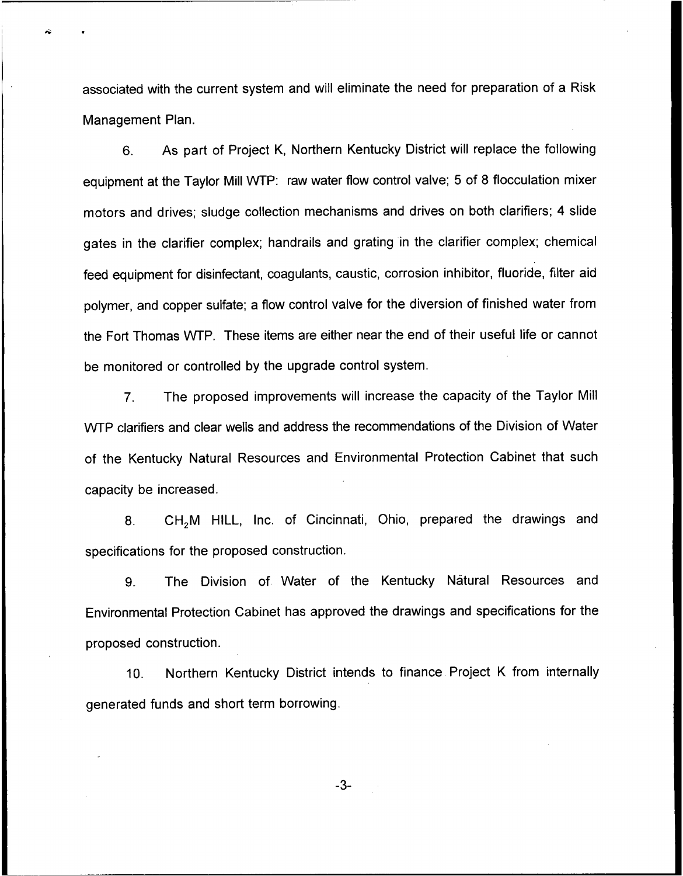associated with the current system and will eliminate the need for preparation of a Risk Management Plan.

6. As part of Project K, Northern Kentucky District will replace the following equipment at the Taylor Mill WTP: raw water flow control valve; 5 of 8 flocculation mixer motors and drives; sludge collection mechanisms and drives on both clarifiers; 4 slide gates in the clarifier complex; handrails and grating in the clarifier complex; chemical feed equipment for disinfectant, coagulants, caustic, corrosion inhibitor, fluoride, filter aid polymer, and copper sulfate; a flow control valve for the diversion of finished water from the Fort Thomas WTP. These items are either near the end of their useful life or cannot be monitored or controlled by the upgrade control system.

7. The proposed improvements will increase the capacity of the Taylor Mill WTP clarifiers and clear wells and address the recommendations of the Division of Water of the Kentucky Natural Resources and Environmental Protection Cabinet that such capacity be increased.

8. CH,M HILL, Inc. of Cincinnati, Ohio, prepared the drawings and specifications for the proposed construction.

9. The Division of Water of the Kentucky Natural Resources and Environmental Protection Cabinet has approved the drawings and specifications for the proposed construction.

10. Northern Kentucky District intends to finance Project K from internally generated funds and short term borrowing.

 $-3-$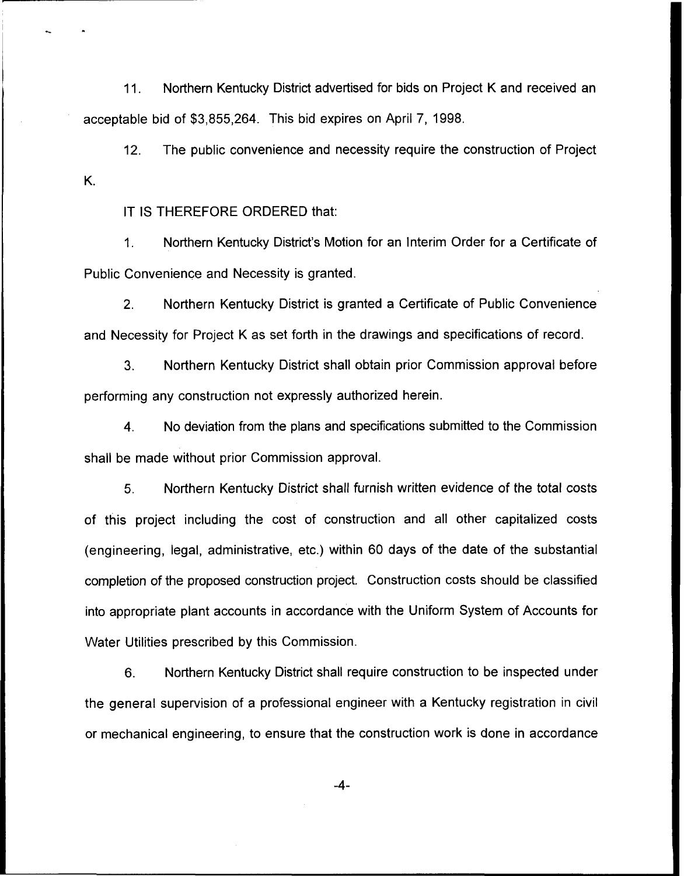11. Northern Kentucky District advertised for bids on Project <sup>K</sup> and received an acceptable bid of \$3,855,264. This bid expires on April 7, 1998.

12. The public convenience and necessity require the construction of Project K.

IT IS THEREFORE ORDERED that:

1. Northern Kentucky District's Motion for an Interim Order for a Certificate of Public Convenience and Necessity is granted.

 $2<sub>1</sub>$ Northern Kentucky District is granted a Certificate of Public Convenience and Necessity for Project K as set forth in the drawings and specifications of record.

3. Northern Kentucky District shall obtain prior Commission approval before performing any construction not expressly authorized herein.

4. No deviation from the plans and specifications submitted to the Commission shall be made without prior Commission approval.

5. Northern Kentucky District shall furnish written evidence of the total costs of this project including the cost of construction and all other capitalized costs (engineering, legal, administrative, etc.) within 60 days of the date of the substantial completion of the proposed construction project. Construction costs should be classified into appropriate plant accounts in accordance with the Uniform System of Accounts for Water Utilities prescribed by this Commission.

6. Northern Kentucky District shall require construction to be inspected under the general supervision of a professional engineer with a Kentucky registration in civil or mechanical engineering, to ensure that the construction work is done in accordance

-4-